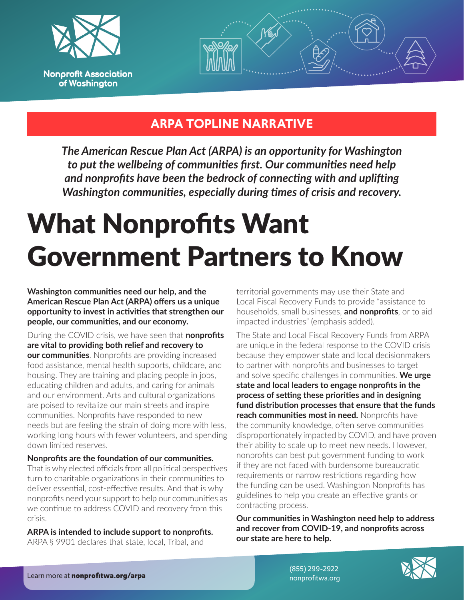



#### **ARPA TOPLINE NARRATIVE**

*The American Rescue Plan Act (ARPA) is an opportunity for Washington to put the wellbeing of communities first. Our communities need help and nonprofits have been the bedrock of connecting with and uplifting Washington communities, especially during times of crisis and recovery.*

## What Nonprofits Want Government Partners to Know

**Washington communities need our help, and the American Rescue Plan Act (ARPA) offers us a unique opportunity to invest in activities that strengthen our people, our communities, and our economy.**

During the COVID crisis, we have seen that **nonprofits are vital to providing both relief and recovery to our communities**. Nonprofits are providing increased food assistance, mental health supports, childcare, and housing. They are training and placing people in jobs, educating children and adults, and caring for animals and our environment. Arts and cultural organizations are poised to revitalize our main streets and inspire communities. Nonprofits have responded to new needs but are feeling the strain of doing more with less, working long hours with fewer volunteers, and spending down limited reserves.

#### **Nonprofits are the foundation of our communities.**

That is why elected officials from all political perspectives turn to charitable organizations in their communities to deliver essential, cost-effective results. And that is why nonprofits need your support to help our communities as we continue to address COVID and recovery from this crisis.

**ARPA is intended to include support to nonprofits.**  ARPA § 9901 declares that state, local, Tribal, and

territorial governments may use their State and Local Fiscal Recovery Funds to provide "assistance to households, small businesses, **and nonprofits**, or to aid impacted industries" (emphasis added).

The State and Local Fiscal Recovery Funds from ARPA are unique in the federal response to the COVID crisis because they empower state and local decisionmakers to partner with nonprofits and businesses to target and solve specific challenges in communities. **We urge state and local leaders to engage nonprofits in the process of setting these priorities and in designing fund distribution processes that ensure that the funds reach communities most in need.** Nonprofits have the community knowledge, often serve communities disproportionately impacted by COVID, and have proven their ability to scale up to meet new needs. However, nonprofits can best put government funding to work if they are not faced with burdensome bureaucratic requirements or narrow restrictions regarding how the funding can be used. Washington Nonprofits has guidelines to help you create an effective grants or contracting process.

**Our communities in Washington need help to address and recover from COVID-19, and nonprofits across our state are here to help.**